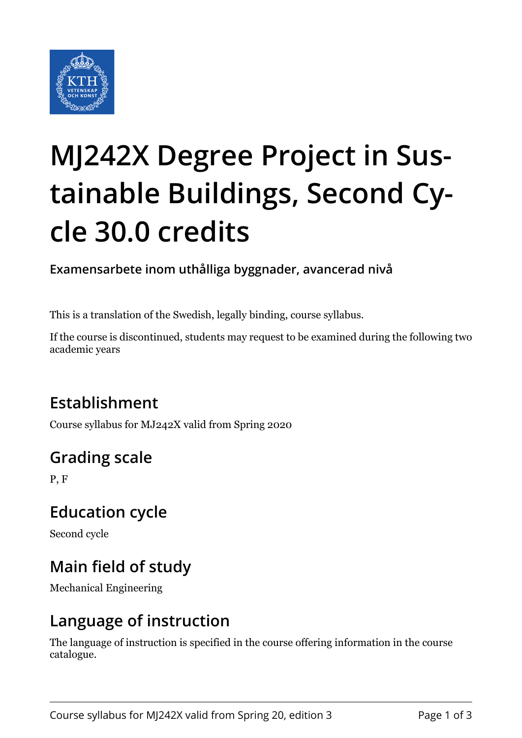

# **MJ242X Degree Project in Sustainable Buildings, Second Cycle 30.0 credits**

**Examensarbete inom uthålliga byggnader, avancerad nivå**

This is a translation of the Swedish, legally binding, course syllabus.

If the course is discontinued, students may request to be examined during the following two academic years

# **Establishment**

Course syllabus for MJ242X valid from Spring 2020

# **Grading scale**

P, F

### **Education cycle**

Second cycle

# **Main field of study**

Mechanical Engineering

### **Language of instruction**

The language of instruction is specified in the course offering information in the course catalogue.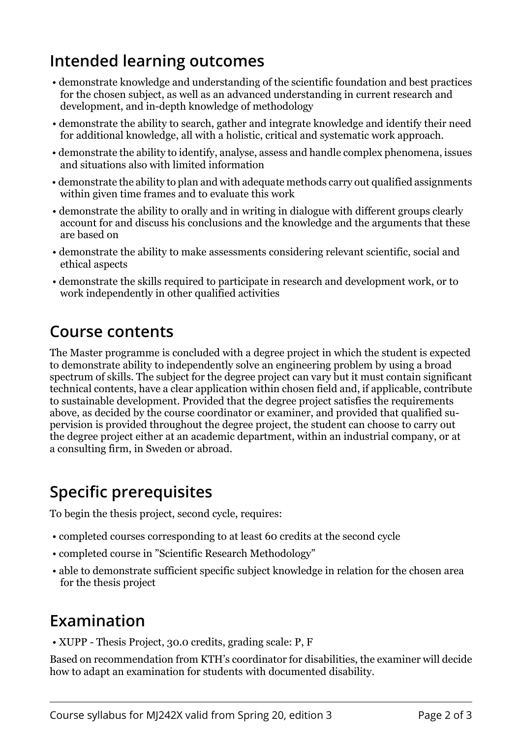## **Intended learning outcomes**

- demonstrate knowledge and understanding of the scientific foundation and best practices for the chosen subject, as well as an advanced understanding in current research and development, and in-depth knowledge of methodology
- demonstrate the ability to search, gather and integrate knowledge and identify their need for additional knowledge, all with a holistic, critical and systematic work approach.
- demonstrate the ability to identify, analyse, assess and handle complex phenomena, issues and situations also with limited information
- demonstrate the ability to plan and with adequate methods carry out qualified assignments within given time frames and to evaluate this work
- demonstrate the ability to orally and in writing in dialogue with different groups clearly account for and discuss his conclusions and the knowledge and the arguments that these are based on
- demonstrate the ability to make assessments considering relevant scientific, social and ethical aspects
- demonstrate the skills required to participate in research and development work, or to work independently in other qualified activities

#### **Course contents**

The Master programme is concluded with a degree project in which the student is expected to demonstrate ability to independently solve an engineering problem by using a broad spectrum of skills. The subject for the degree project can vary but it must contain significant technical contents, have a clear application within chosen field and, if applicable, contribute to sustainable development. Provided that the degree project satisfies the requirements above, as decided by the course coordinator or examiner, and provided that qualified supervision is provided throughout the degree project, the student can choose to carry out the degree project either at an academic department, within an industrial company, or at a consulting firm, in Sweden or abroad.

# **Specific prerequisites**

To begin the thesis project, second cycle, requires:

- completed courses corresponding to at least 60 credits at the second cycle
- completed course in "Scientific Research Methodology"
- able to demonstrate sufficient specific subject knowledge in relation for the chosen area for the thesis project

## **Examination**

• XUPP - Thesis Project, 30.0 credits, grading scale: P, F

Based on recommendation from KTH's coordinator for disabilities, the examiner will decide how to adapt an examination for students with documented disability.